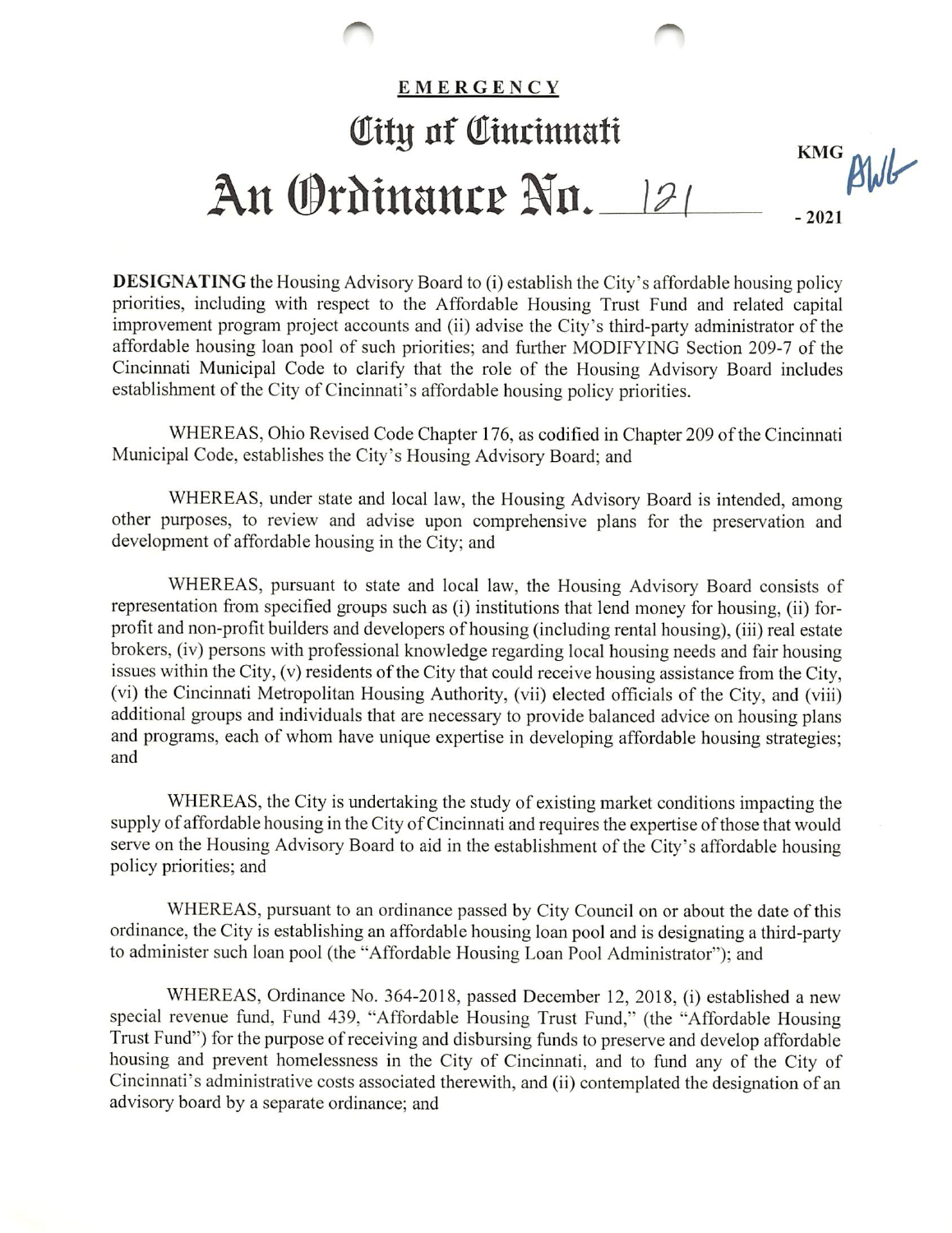

**DESIGNATING** the Housing Advisory Board to (i) establish the City's affordable housing policy priorities, including with respect to the Affordable Housing Trust Fund and related capital improvement program project accounts and (ii) advise the City's third-party administrator of the affordable housing loan pool of such priorities; and further MODIFYING Section 209-7 of the Cincinnati Municipal Code to clarify that the role of the Housing Advisory Board includes establishment of the City of Cincinnati's affordable housing policy priorities.

WHEREAS, Ohio Revised Code Chapter 176, as codified in Chapter 209 of the Cincinnati Municipal Code, establishes the City's Housing Advisory Board; and

WHEREAS, under state and local law, the Housing Advisory Board is intended, among other purposes, to review and advise upon comprehensive plans for the preservation and development of affordable housing in the City; and

WHEREAS, pursuant to state and local law, the Housing Advisory Board consists of representation from specified groups such as (i) institutions that lend money for housing, (ii) forprofit and non-profit builders and developers of housing (including rental housing), (iii) real estate brokers, (iv) persons with professional knowledge regarding local housing needs and fair housing issues within the City, (v) residents of the City that could receive housing assistance from the City, (vi) the Cincinnati Metropolitan Housing Authority, (vii) elected officials of the City, and (viii) additional groups and individuals that are necessary to provide balanced advice on housing plans and programs, each of whom have unique expertise in developing affordable housing strategies; and

WHEREAS, the City is undertaking the study of existing market conditions impacting the supply of affordable housing in the City of Cincinnati and requires the expertise of those that would serve on the Housing Advisory Board to aid in the establishment of the City's affordable housing policy priorities; and

WHEREAS, pursuant to an ordinance passed by City Council on or about the date of this ordinance, the City is establishing an affordable housing loan pool and is designating a third-party to administer such loan pool (the "Affordable Housing Loan Pool Administrator"); and

WHEREAS, Ordinance No. 364-2018, passed December 12, 2018, (i) established a new special revenue fund, Fund 439, "Affordable Housing Trust Fund," (the "Affordable Housing Trust Fund") for the purpose of receiving and disbursing funds to preserve and develop affordable housing and prevent homelessness in the City of Cincinnati, and to fund any of the City of Cincinnati's administrative costs associated therewith, and (ii) contemplated the designation of an advisory board by a separate ordinance; and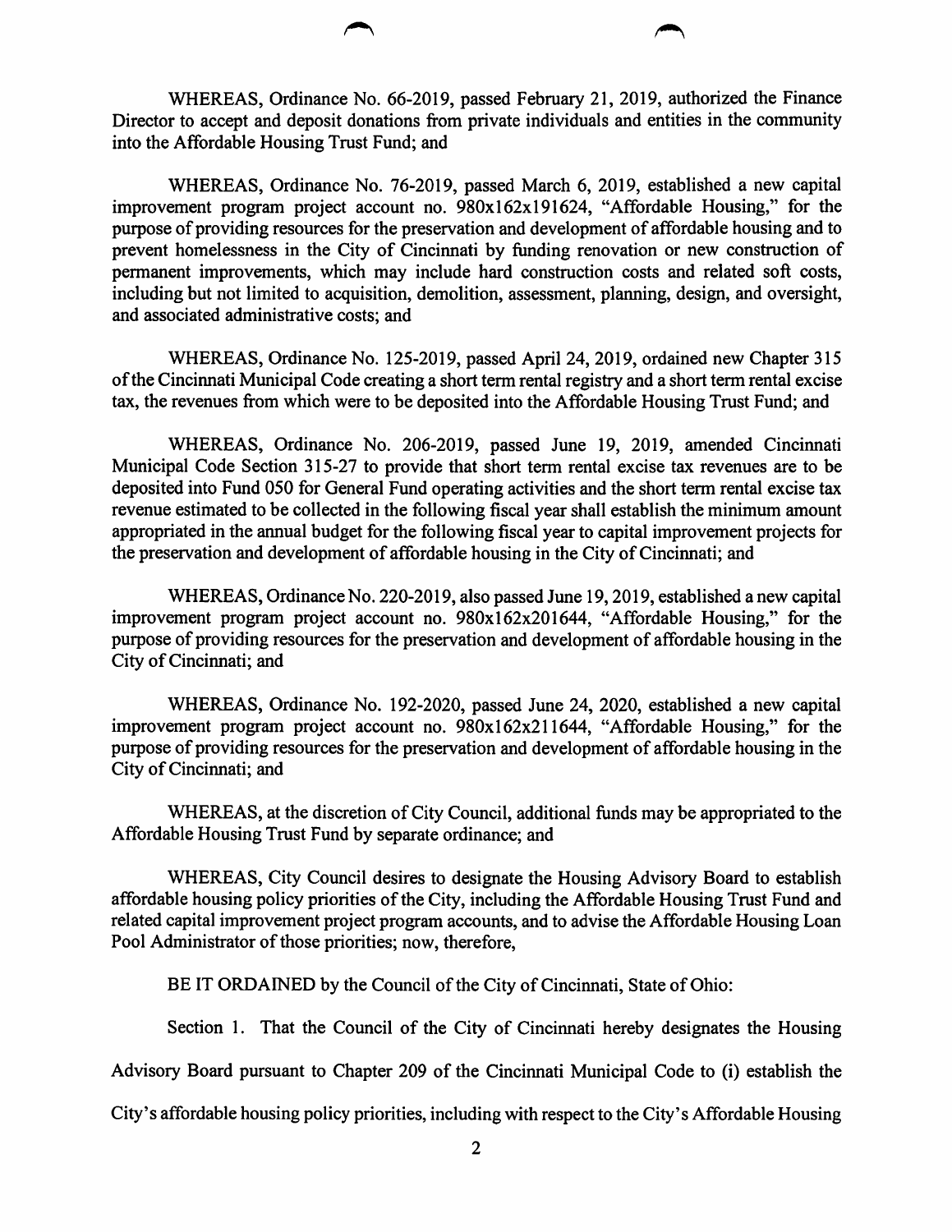WHEREAS, Ordinance No. 66-2019, passed February 21, 2019, authorized the Finance Director to accept and deposit donations from private individuals and entities in the community into the Affordable Housing Trust Fund; and

WHEREAS, Ordinance No. 76-2019, passed March 6, 2019, established a new capital improvement program project account no. 980x162x191624, "Affordable Housing," for the purpose of providing resources for the preservation and development of affordable housing and to prevent homelessness in the City of Cincinnati by funding renovation or new construction of permanent improvements, which may include hard construction costs and related soft costs, including but not limited to acquisition, demolition, assessment, planning, design, and oversight, and associated administrative costs; and

WHEREAS, Ordinance No. 125-2019, passed April 24, 2019, ordained new Chapter 315 of the Cincinnati Municipal Code creating a short term rental registry and a short term rental excise tax, the revenues from which were to be deposited into the Affordable Housing Trust Fund; and

WHEREAS, Ordinance No. 206-2019, passed June 19, 2019, amended Cincinnati Municipal Code Section 315-27 to provide that short term rental excise tax revenues are to be deposited into Fund 050 for General Fund operating activities and the short term rental excise tax revenue estimated to be collected in the following fiscal year shall establish the minimum amount appropriated in the annual budget for the following fiscal year to capital improvement projects for the preservation and development of affordable housing in the City of Cincinnati; and

WHEREAS, Ordinance No. 220-2019, also passed June 19,2019, established a new capital improvement program project account no. 980x162x201644, "Affordable Housing," for the purpose of providing resources for the preservation and development of affordable housing in the City of Cincinnati; and

WHEREAS, Ordinance No. 192-2020, passed June 24, 2020, established a new capital improvement program project account no. 980x162x211644, "Affordable Housing," for the purpose of providing resources for the preservation and development of affordable housing in the City of Cincinnati; and

WHEREAS, at the discretion of City Council, additional funds may be appropriated to the Affordable Housing Trust Fund by separate ordinance; and

WHEREAS, City Council desires to designate the Housing Advisory Board to establish affordable housing policy priorities of the City, including the Affordable Housing Trust Fund and related capital improvement project program accounts, and to advise the Affordable Housing Loan Pool Administrator of those priorities; now, therefore,

BE IT ORDAINED by the Council of the City of Cincinnati, State of Ohio:

Section 1. That the Council of the City of Cincinnati hereby designates the Housing

Advisory Board pursuant to Chapter 209 of the Cincinnati Municipal Code to (i) establish the

City's affordable housing policy priorities, including with respect to the City's Affordable Housing